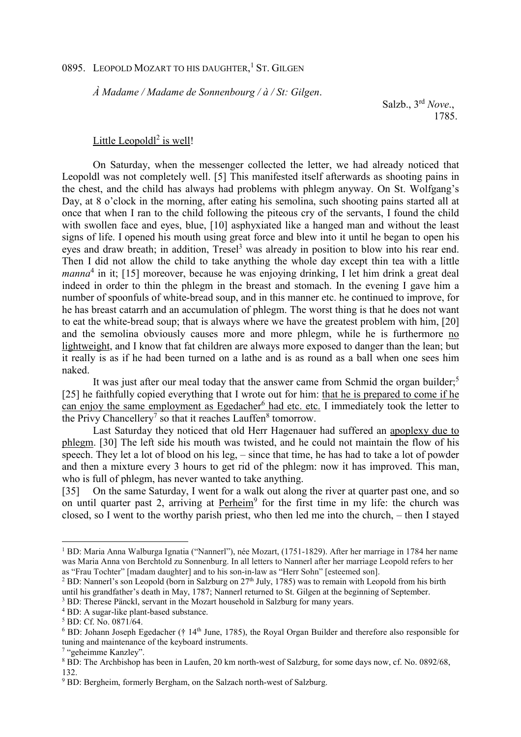## 0895. LEOPOLD MOZART TO HIS DAUGHTER,<sup>1</sup> ST. GILGEN

*À Madame / Madame de Sonnenbourg / à / St: Gilgen*.

 Salzb., 3rd *Nove*., 1785.

## Little Leopoldl<sup>2</sup> is well!

On Saturday, when the messenger collected the letter, we had already noticed that Leopoldl was not completely well. [5] This manifested itself afterwards as shooting pains in the chest, and the child has always had problems with phlegm anyway. On St. Wolfgang's Day, at 8 o'clock in the morning, after eating his semolina, such shooting pains started all at once that when I ran to the child following the piteous cry of the servants, I found the child with swollen face and eyes, blue, [10] asphyxiated like a hanged man and without the least signs of life. I opened his mouth using great force and blew into it until he began to open his eyes and draw breath; in addition, Tresel<sup>3</sup> was already in position to blow into his rear end. Then I did not allow the child to take anything the whole day except thin tea with a little manna<sup>4</sup> in it; [15] moreover, because he was enjoying drinking, I let him drink a great deal indeed in order to thin the phlegm in the breast and stomach. In the evening I gave him a number of spoonfuls of white-bread soup, and in this manner etc. he continued to improve, for he has breast catarrh and an accumulation of phlegm. The worst thing is that he does not want to eat the white-bread soup; that is always where we have the greatest problem with him, [20] and the semolina obviously causes more and more phlegm, while he is furthermore no lightweight, and I know that fat children are always more exposed to danger than the lean; but it really is as if he had been turned on a lathe and is as round as a ball when one sees him naked.

It was just after our meal today that the answer came from Schmid the organ builder;<sup>5</sup> [25] he faithfully copied everything that I wrote out for him: that he is prepared to come if he can enjoy the same employment as Egedacher<sup>6</sup> had etc. etc. I immediately took the letter to the Privy Chancellery<sup>7</sup> so that it reaches Lauffen<sup>8</sup> tomorrow.

Last Saturday they noticed that old Herr Hagenauer had suffered an apoplexy due to phlegm. [30] The left side his mouth was twisted, and he could not maintain the flow of his speech. They let a lot of blood on his leg, – since that time, he has had to take a lot of powder and then a mixture every 3 hours to get rid of the phlegm: now it has improved. This man, who is full of phlegm, has never wanted to take anything.

[35] On the same Saturday, I went for a walk out along the river at quarter past one, and so on until quarter past 2, arriving at Perheim<sup>9</sup> for the first time in my life: the church was closed, so I went to the worthy parish priest, who then led me into the church, – then I stayed

l

<sup>1</sup> BD: Maria Anna Walburga Ignatia ("Nannerl"), née Mozart, (1751-1829). After her marriage in 1784 her name was Maria Anna von Berchtold zu Sonnenburg. In all letters to Nannerl after her marriage Leopold refers to her as "Frau Tochter" [madam daughter] and to his son-in-law as "Herr Sohn" [esteemed son].

<sup>&</sup>lt;sup>2</sup> BD: Nannerl's son Leopold (born in Salzburg on  $27<sup>th</sup>$  July, 1785) was to remain with Leopold from his birth until his grandfather's death in May, 1787; Nannerl returned to St. Gilgen at the beginning of September.

<sup>&</sup>lt;sup>3</sup> BD: Therese Pänckl, servant in the Mozart household in Salzburg for many years.

<sup>&</sup>lt;sup>4</sup> BD: A sugar-like plant-based substance.

<sup>5</sup> BD: Cf. No. 0871/64.

 $6$  BD: Johann Joseph Egedacher († 14<sup>th</sup> June, 1785), the Royal Organ Builder and therefore also responsible for tuning and maintenance of the keyboard instruments.

<sup>7</sup> "geheimme Kanzley".

<sup>&</sup>lt;sup>8</sup> BD: The Archbishop has been in Laufen, 20 km north-west of Salzburg, for some days now, cf. No. 0892/68, 132.

<sup>&</sup>lt;sup>9</sup> BD: Bergheim, formerly Bergham, on the Salzach north-west of Salzburg.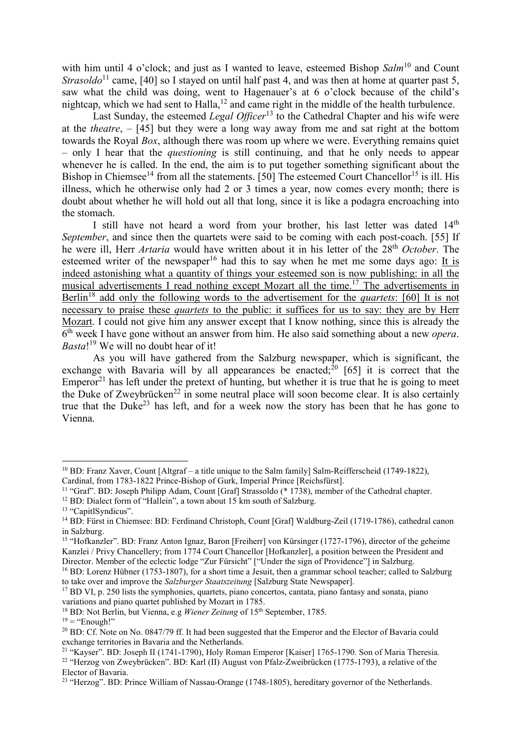with him until 4 o'clock; and just as I wanted to leave, esteemed Bishop *Salm*<sup>10</sup> and Count *Strasoldo*<sup>11</sup> came, [40] so I stayed on until half past 4, and was then at home at quarter past 5, saw what the child was doing, went to Hagenauer's at 6 o'clock because of the child's nightcap, which we had sent to Halla,<sup>12</sup> and came right in the middle of the health turbulence.

Last Sunday, the esteemed *Legal Officer*<sup>13</sup> to the Cathedral Chapter and his wife were at the *theatre*, – [45] but they were a long way away from me and sat right at the bottom towards the Royal *Box*, although there was room up where we were. Everything remains quiet – only I hear that the *questioning* is still continuing, and that he only needs to appear whenever he is called. In the end, the aim is to put together something significant about the Bishop in Chiemsee<sup>14</sup> from all the statements. [50] The esteemed Court Chancellor<sup>15</sup> is ill. His illness, which he otherwise only had 2 or 3 times a year, now comes every month; there is doubt about whether he will hold out all that long, since it is like a podagra encroaching into the stomach.

I still have not heard a word from your brother, his last letter was dated  $14<sup>th</sup>$ *September*, and since then the quartets were said to be coming with each post-coach. [55] If he were ill, Herr *Artaria* would have written about it in his letter of the 28th *October*. The esteemed writer of the newspaper<sup>16</sup> had this to say when he met me some days ago: It is indeed astonishing what a quantity of things your esteemed son is now publishing: in all the musical advertisements I read nothing except Mozart all the time.<sup>17</sup> The advertisements in Berlin<sup>18</sup> add only the following words to the advertisement for the *quartets*: [60] It is not necessary to praise these *quartets* to the public: it suffices for us to say: they are by Herr Mozart. I could not give him any answer except that I know nothing, since this is already the 6 th week I have gone without an answer from him. He also said something about a new *opera*. *Basta*! <sup>19</sup> We will no doubt hear of it!

As you will have gathered from the Salzburg newspaper, which is significant, the exchange with Bavaria will by all appearances be enacted; $^{20}$  [65] it is correct that the Emperor<sup>21</sup> has left under the pretext of hunting, but whether it is true that he is going to meet the Duke of Zweybrücken<sup>22</sup> in some neutral place will soon become clear. It is also certainly true that the Duke<sup>23</sup> has left, and for a week now the story has been that he has gone to Vienna.

 $\overline{a}$ 

 $19$  = "Enough!"

<sup>10</sup> BD: Franz Xaver, Count [Altgraf – a title unique to the Salm family] Salm-Reifferscheid (1749-1822), Cardinal, from 1783-1822 Prince-Bishop of Gurk, Imperial Prince [Reichsfürst].

<sup>11</sup> "Graf". BD: Joseph Philipp Adam, Count [Graf] Strassoldo (\* 1738), member of the Cathedral chapter.

<sup>&</sup>lt;sup>12</sup> BD: Dialect form of "Hallein", a town about 15 km south of Salzburg.

<sup>&</sup>lt;sup>13</sup> "CapitlSyndicus".

<sup>&</sup>lt;sup>14</sup> BD: Fürst in Chiemsee: BD: Ferdinand Christoph, Count [Graf] Waldburg-Zeil (1719-1786), cathedral canon in Salzburg.

<sup>&</sup>lt;sup>15</sup> "Hofkanzler". BD: Franz Anton Ignaz, Baron [Freiherr] von Kürsinger (1727-1796), director of the geheime Kanzlei / Privy Chancellery; from 1774 Court Chancellor [Hofkanzler], a position between the President and Director. Member of the eclectic lodge "Zur Fürsicht" ["Under the sign of Providence"] in Salzburg.

<sup>&</sup>lt;sup>16</sup> BD: Lorenz Hübner (1753-1807), for a short time a Jesuit, then a grammar school teacher; called to Salzburg to take over and improve the *Salzburger Staatszeitung* [Salzburg State Newspaper].

<sup>&</sup>lt;sup>17</sup> BD VI, p. 250 lists the symphonies, quartets, piano concertos, cantata, piano fantasy and sonata, piano variations and piano quartet published by Mozart in 1785.

<sup>&</sup>lt;sup>18</sup> BD: Not Berlin, but Vienna, e.g *Wiener Zeitung* of 15<sup>th</sup> September, 1785.

<sup>&</sup>lt;sup>20</sup> BD: Cf. Note on No. 0847/79 ff. It had been suggested that the Emperor and the Elector of Bavaria could exchange territories in Bavaria and the Netherlands.

<sup>&</sup>lt;sup>21</sup> "Kayser". BD: Joseph II (1741-1790), Holy Roman Emperor [Kaiser] 1765-1790. Son of Maria Theresia. <sup>22</sup> "Herzog von Zweybrücken". BD: Karl (II) August von Pfalz-Zweibrücken (1775-1793), a relative of the Elector of Bavaria.

<sup>&</sup>lt;sup>23</sup> "Herzog". BD: Prince William of Nassau-Orange (1748-1805), hereditary governor of the Netherlands.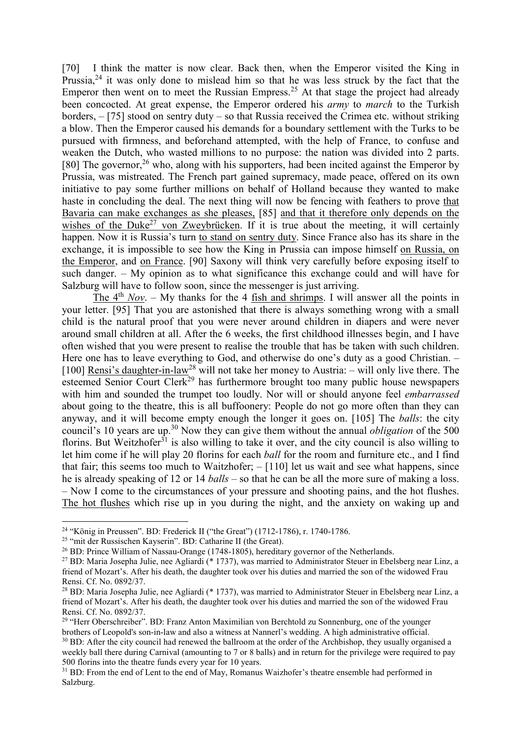[70] I think the matter is now clear. Back then, when the Emperor visited the King in Prussia,  $24$  it was only done to mislead him so that he was less struck by the fact that the Emperor then went on to meet the Russian Empress.<sup>25</sup> At that stage the project had already been concocted. At great expense, the Emperor ordered his *army* to *march* to the Turkish borders, – [75] stood on sentry duty – so that Russia received the Crimea etc. without striking a blow. Then the Emperor caused his demands for a boundary settlement with the Turks to be pursued with firmness, and beforehand attempted, with the help of France, to confuse and weaken the Dutch, who wasted millions to no purpose: the nation was divided into 2 parts. [80] The governor,  $26$  who, along with his supporters, had been incited against the Emperor by Prussia, was mistreated. The French part gained supremacy, made peace, offered on its own initiative to pay some further millions on behalf of Holland because they wanted to make haste in concluding the deal. The next thing will now be fencing with feathers to prove that Bavaria can make exchanges as she pleases, [85] and that it therefore only depends on the wishes of the Duke<sup>27</sup> von Zweybrücken. If it is true about the meeting, it will certainly happen. Now it is Russia's turn to stand on sentry duty. Since France also has its share in the exchange, it is impossible to see how the King in Prussia can impose himself on Russia, on the Emperor, and on France. [90] Saxony will think very carefully before exposing itself to such danger. – My opinion as to what significance this exchange could and will have for Salzburg will have to follow soon, since the messenger is just arriving.

The  $4<sup>th</sup> Nov. - My thanks for the 4 fish and shrimps. I will answer all the points in$ your letter. [95] That you are astonished that there is always something wrong with a small child is the natural proof that you were never around children in diapers and were never around small children at all. After the 6 weeks, the first childhood illnesses begin, and I have often wished that you were present to realise the trouble that has be taken with such children. Here one has to leave everything to God, and otherwise do one's duty as a good Christian. – [100] Rensi's daughter-in-law<sup>28</sup> will not take her money to Austria: – will only live there. The esteemed Senior Court Clerk<sup>29</sup> has furthermore brought too many public house newspapers with him and sounded the trumpet too loudly. Nor will or should anyone feel *embarrassed* about going to the theatre, this is all buffoonery: People do not go more often than they can anyway, and it will become empty enough the longer it goes on. [105] The *balls*: the city council's 10 years are up.<sup>30</sup> Now they can give them without the annual *obligation* of the 500 florins. But Weitzhofer<sup>31</sup> is also willing to take it over, and the city council is also willing to let him come if he will play 20 florins for each *ball* for the room and furniture etc., and I find that fair; this seems too much to Waitzhofer;  $-$  [110] let us wait and see what happens, since he is already speaking of 12 or 14 *balls* – so that he can be all the more sure of making a loss. – Now I come to the circumstances of your pressure and shooting pains, and the hot flushes. The hot flushes which rise up in you during the night, and the anxiety on waking up and

 $\overline{a}$ 

<sup>&</sup>lt;sup>24</sup> "König in Preussen". BD: Frederick II ("the Great") (1712-1786), r. 1740-1786.

<sup>&</sup>lt;sup>25</sup> "mit der Russischen Kayserin". BD: Catharine II (the Great).

<sup>26</sup> BD: Prince William of Nassau-Orange (1748-1805), hereditary governor of the Netherlands.

<sup>&</sup>lt;sup>27</sup> BD: Maria Josepha Julie, nee Agliardi (\* 1737), was married to Administrator Steuer in Ebelsberg near Linz, a friend of Mozart's. After his death, the daughter took over his duties and married the son of the widowed Frau Rensi. Cf. No. 0892/37.

<sup>&</sup>lt;sup>28</sup> BD: Maria Josepha Julie, nee Agliardi (\* 1737), was married to Administrator Steuer in Ebelsberg near Linz, a friend of Mozart's. After his death, the daughter took over his duties and married the son of the widowed Frau Rensi. Cf. No. 0892/37.

<sup>&</sup>lt;sup>29</sup> "Herr Oberschreiber". BD: Franz Anton Maximilian von Berchtold zu Sonnenburg, one of the younger brothers of Leopold's son-in-law and also a witness at Nannerl's wedding. A high administrative official. <sup>30</sup> BD: After the city council had renewed the ballroom at the order of the Archbishop, they usually organised a weekly ball there during Carnival (amounting to 7 or 8 balls) and in return for the privilege were required to pay 500 florins into the theatre funds every year for 10 years.

<sup>&</sup>lt;sup>31</sup> BD: From the end of Lent to the end of May, Romanus Waizhofer's theatre ensemble had performed in Salzburg.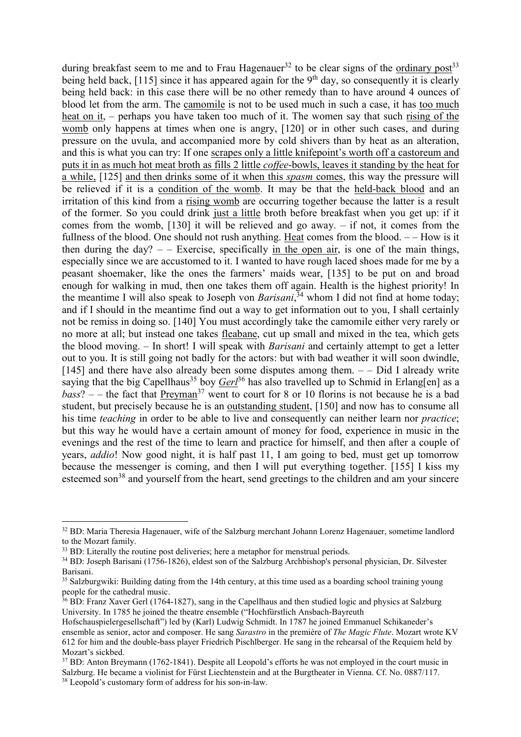during breakfast seem to me and to Frau Hagenauer<sup>32</sup> to be clear signs of the ordinary post<sup>33</sup> being held back, [115] since it has appeared again for the  $9<sup>th</sup>$  day, so consequently it is clearly being held back: in this case there will be no other remedy than to have around 4 ounces of blood let from the arm. The camomile is not to be used much in such a case, it has too much heat on it, – perhaps you have taken too much of it. The women say that such rising of the womb only happens at times when one is angry, [120] or in other such cases, and during pressure on the uvula, and accompanied more by cold shivers than by heat as an alteration, and this is what you can try: If one scrapes only a little knifepoint's worth off a castoreum and puts it in as much hot meat broth as fills 2 little *coffee*-bowls, leaves it standing by the heat for a while, [125] and then drinks some of it when this *spasm* comes, this way the pressure will be relieved if it is a condition of the womb. It may be that the held-back blood and an irritation of this kind from a rising womb are occurring together because the latter is a result of the former. So you could drink just a little broth before breakfast when you get up: if it comes from the womb, [130] it will be relieved and go away. – if not, it comes from the fullness of the blood. One should not rush anything. Heat comes from the blood.  $-$  How is it then during the day?  $-$  – Exercise, specifically in the open air, is one of the main things, especially since we are accustomed to it. I wanted to have rough laced shoes made for me by a peasant shoemaker, like the ones the farmers' maids wear, [135] to be put on and broad enough for walking in mud, then one takes them off again. Health is the highest priority! In the meantime I will also speak to Joseph von *Barisani*, <sup>34</sup> whom I did not find at home today; and if I should in the meantime find out a way to get information out to you, I shall certainly not be remiss in doing so. [140] You must accordingly take the camomile either very rarely or no more at all; but instead one takes fleabane, cut up small and mixed in the tea, which gets the blood moving. – In short! I will speak with *Barisani* and certainly attempt to get a letter out to you. It is still going not badly for the actors: but with bad weather it will soon dwindle, [145] and there have also already been some disputes among them.  $-$  Did I already write saying that the big Capellhaus<sup>35</sup> boy *Gerl*<sup>36</sup> has also travelled up to Schmid in Erlang[en] as a  $bass$ ? – – the fact that  $Preyman<sup>37</sup>$  went to court for 8 or 10 florins is not because he is a bad</u> student, but precisely because he is an outstanding student, [150] and now has to consume all his time *teaching* in order to be able to live and consequently can neither learn nor *practice*; but this way he would have a certain amount of money for food, experience in music in the evenings and the rest of the time to learn and practice for himself, and then after a couple of years, *addio*! Now good night, it is half past 11, I am going to bed, must get up tomorrow because the messenger is coming, and then I will put everything together. [155] I kiss my esteemed son $38$  and yourself from the heart, send greetings to the children and am your sincere

 $\overline{a}$ 

<sup>&</sup>lt;sup>32</sup> BD: Maria Theresia Hagenauer, wife of the Salzburg merchant Johann Lorenz Hagenauer, sometime landlord to the Mozart family.

<sup>&</sup>lt;sup>33</sup> BD: Literally the routine post deliveries; here a metaphor for menstrual periods.

<sup>34</sup> BD: Joseph Barisani (1756-1826), eldest son of the Salzburg Archbishop's personal physician, Dr. Silvester Barisani.

<sup>&</sup>lt;sup>35</sup> Salzburgwiki: Building dating from the 14th century, at this time used as a boarding school training young people for the cathedral music.

 $36$  BD: Franz Xaver Gerl (1764-1827), sang in the Capellhaus and then studied logic and physics at Salzburg University. In 1785 he joined the theatre ensemble ("Hochfürstlich Ansbach-Bayreuth

Hofschauspielergesellschaft") led by (Karl) Ludwig Schmidt. In 1787 he joined Emmanuel Schikaneder's ensemble as senior, actor and composer. He sang *Sarastro* in the première of *The Magic Flute*. Mozart wrote KV 612 for him and the double-bass player Friedrich Pischlberger. He sang in the rehearsal of the Requiem held by Mozart's sickbed.

<sup>37</sup> BD: Anton Breymann (1762-1841). Despite all Leopold's efforts he was not employed in the court music in Salzburg. He became a violinist for Fürst Liechtenstein and at the Burgtheater in Vienna. Cf. No. 0887/117.

<sup>38</sup> Leopold's customary form of address for his son-in-law.